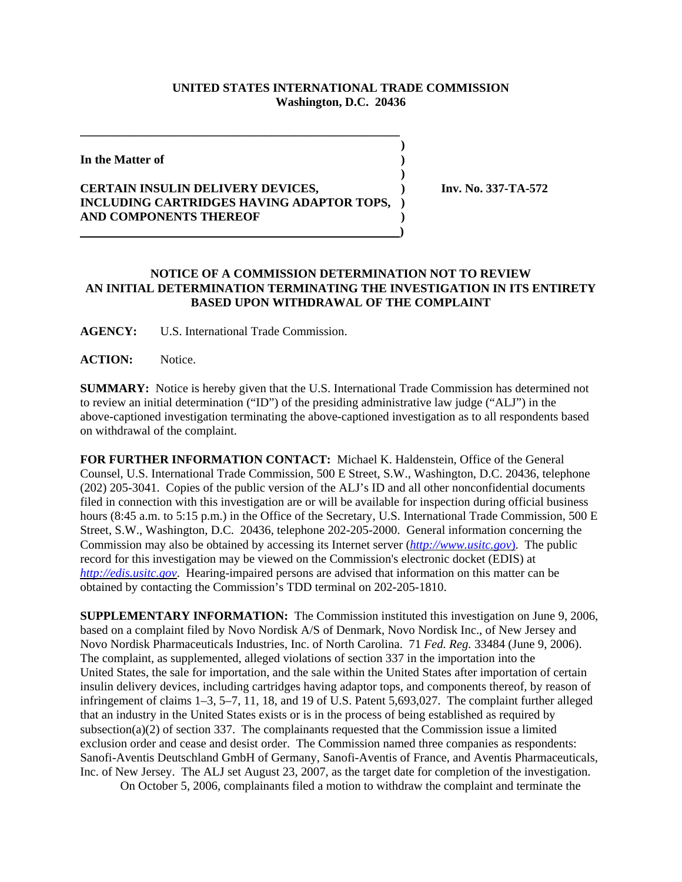## **UNITED STATES INTERNATIONAL TRADE COMMISSION Washington, D.C. 20436**

**)**

**)**

**In the Matter of )**

## **CERTAIN INSULIN DELIVERY DEVICES, ) Inv. No. 337-TA-572 INCLUDING CARTRIDGES HAVING ADAPTOR TOPS, ) AND COMPONENTS THEREOF ) )**

**\_\_\_\_\_\_\_\_\_\_\_\_\_\_\_\_\_\_\_\_\_\_\_\_\_\_\_\_\_\_\_\_\_\_\_\_\_\_\_\_\_\_\_\_\_\_\_\_\_\_\_\_** 

## **NOTICE OF A COMMISSION DETERMINATION NOT TO REVIEW AN INITIAL DETERMINATION TERMINATING THE INVESTIGATION IN ITS ENTIRETY BASED UPON WITHDRAWAL OF THE COMPLAINT**

**AGENCY:** U.S. International Trade Commission.

**ACTION:** Notice.

**SUMMARY:** Notice is hereby given that the U.S. International Trade Commission has determined not to review an initial determination ("ID") of the presiding administrative law judge ("ALJ") in the above-captioned investigation terminating the above-captioned investigation as to all respondents based on withdrawal of the complaint.

**FOR FURTHER INFORMATION CONTACT:** Michael K. Haldenstein, Office of the General Counsel, U.S. International Trade Commission, 500 E Street, S.W., Washington, D.C. 20436, telephone (202) 205-3041. Copies of the public version of the ALJ's ID and all other nonconfidential documents filed in connection with this investigation are or will be available for inspection during official business hours (8:45 a.m. to 5:15 p.m.) in the Office of the Secretary, U.S. International Trade Commission, 500 E Street, S.W., Washington, D.C. 20436, telephone 202-205-2000. General information concerning the Commission may also be obtained by accessing its Internet server (*http://www.usitc.gov*). The public record for this investigation may be viewed on the Commission's electronic docket (EDIS) at *http://edis.usitc.gov*. Hearing-impaired persons are advised that information on this matter can be obtained by contacting the Commission's TDD terminal on 202-205-1810.

**SUPPLEMENTARY INFORMATION:** The Commission instituted this investigation on June 9, 2006, based on a complaint filed by Novo Nordisk A/S of Denmark, Novo Nordisk Inc., of New Jersey and Novo Nordisk Pharmaceuticals Industries, Inc. of North Carolina. 71 *Fed. Reg.* 33484 (June 9, 2006). The complaint, as supplemented, alleged violations of section 337 in the importation into the United States, the sale for importation, and the sale within the United States after importation of certain insulin delivery devices, including cartridges having adaptor tops, and components thereof, by reason of infringement of claims 1–3, 5–7, 11, 18, and 19 of U.S. Patent 5,693,027. The complaint further alleged that an industry in the United States exists or is in the process of being established as required by subsection(a)(2) of section 337. The complainants requested that the Commission issue a limited exclusion order and cease and desist order. The Commission named three companies as respondents: Sanofi-Aventis Deutschland GmbH of Germany, Sanofi-Aventis of France, and Aventis Pharmaceuticals, Inc. of New Jersey. The ALJ set August 23, 2007, as the target date for completion of the investigation.

On October 5, 2006, complainants filed a motion to withdraw the complaint and terminate the